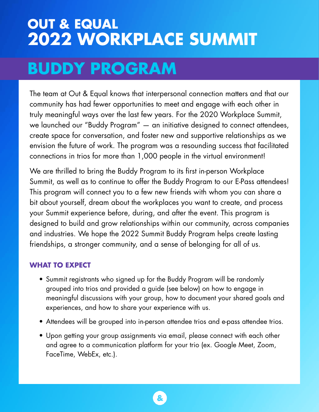# **OUT & EQUAL 2022 WORKPLACE SUMMIT**

# **BUDDY PROGRAM**

The team at Out & Equal knows that interpersonal connection matters and that our community has had fewer opportunities to meet and engage with each other in truly meaningful ways over the last few years. For the 2020 Workplace Summit, we launched our "Buddy Program" — an initiative designed to connect attendees, create space for conversation, and foster new and supportive relationships as we envision the future of work. The program was a resounding success that facilitated connections in trios for more than 1,000 people in the virtual environment!

We are thrilled to bring the Buddy Program to its first in-person Workplace Summit, as well as to continue to offer the Buddy Program to our E-Pass attendees! This program will connect you to a few new friends with whom you can share a bit about yourself, dream about the workplaces you want to create, and process your Summit experience before, during, and after the event. This program is designed to build and grow relationships within our community, across companies and industries. We hope the 2022 Summit Buddy Program helps create lasting friendships, a stronger community, and a sense of belonging for all of us.

### **WHAT TO EXPECT**

- Summit registrants who signed up for the Buddy Program will be randomly grouped into trios and provided a guide (see below) on how to engage in meaningful discussions with your group, how to document your shared goals and experiences, and how to share your experience with us.
- Attendees will be grouped into in-person attendee trios and e-pass attendee trios.
- Upon getting your group assignments via email, please connect with each other and agree to a communication platform for your trio (ex. Google Meet, Zoom, FaceTime, WebEx, etc.).

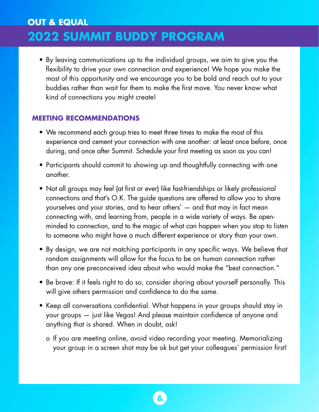• By leaving communications up to the individual groups, we aim to give you the flexibility to drive your own connection and experience! We hope you make the most of this opportunity and we encourage you to be bold and reach out to your buddies rather than wait for them to make the first move. You never know what kind of connections you might create!

### **MEETING RECOMMENDATIONS**

- We recommend each group tries to meet three times to make the most of this experience and cement your connection with one another: at least once before, once during, and once after Summit. Schedule your first meeting as soon as you can!
- Participants should commit to showing up and thoughtfully connecting with one another.
- Not all groups may feel (at first or ever) like fast-friendships or likely professional connections and that's O.K. The guide questions are offered to allow you to share yourselves and your stories, and to hear others' — and that may in fact mean connecting with, and learning from, people in a wide variety of ways. Be openminded to connection, and to the magic of what can happen when you stop to listen to someone who might have a much different experience or story than your own.
- By design, we are not matching participants in any specific ways. We believe that random assignments will allow for the focus to be on human connection rather than any one preconceived idea about who would make the "best connection."
- Be brave: If it feels right to do so, consider sharing about yourself personally. This will give others permission and confidence to do the same.
- Keep all conversations confidential. What happens in your groups should stay in your groups — just like Vegas! And please maintain confidence of anyone and anything that is shared. When in doubt, ask!
	- o If you are meeting online, avoid video recording your meeting. Memorializing your group in a screen shot may be ok but get your colleagues' permission first!

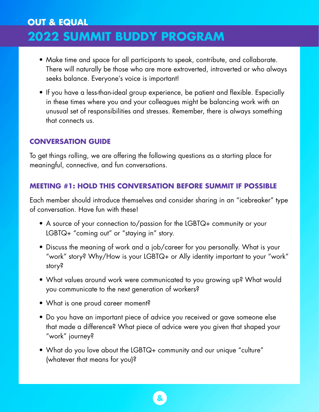- Make time and space for all participants to speak, contribute, and collaborate. There will naturally be those who are more extroverted, introverted or who always seeks balance. Everyone's voice is important!
- If you have a less-than-ideal group experience, be patient and flexible. Especially in these times where you and your colleagues might be balancing work with an unusual set of responsibilities and stresses. Remember, there is always something that connects us.

#### **CONVERSATION GUIDE**

To get things rolling, we are offering the following questions as a starting place for meaningful, connective, and fun conversations.

#### **MEETING #1: HOLD THIS CONVERSATION BEFORE SUMMIT IF POSSIBLE**

Each member should introduce themselves and consider sharing in an "icebreaker" type of conversation. Have fun with these!

- A source of your connection to/passion for the LGBTQ+ community or your LGBTQ+ "coming out" or "staying in" story.
- Discuss the meaning of work and a job/career for you personally. What is your "work" story? Why/How is your LGBTQ+ or Ally identity important to your "work" story?
- What values around work were communicated to you growing up? What would you communicate to the next generation of workers?
- What is one proud career moment?
- Do you have an important piece of advice you received or gave someone else that made a difference? What piece of advice were you given that shaped your "work" journey?
- What do you love about the LGBTQ+ community and our unique "culture" (whatever that means for you)?

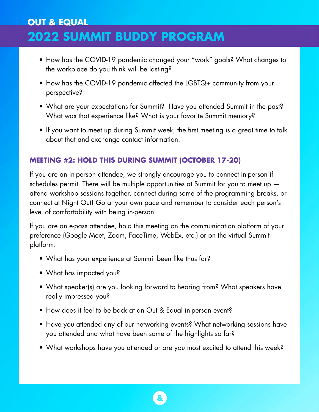- How has the COVID-19 pandemic changed your "work" goals? What changes to the workplace do you think will be lasting?
- How has the COVID-19 pandemic affected the LGBTQ+ community from your perspective?
- What are your expectations for Summit? Have you attended Summit in the past? What was that experience like? What is your favorite Summit memory?
- If you want to meet up during Summit week, the first meeting is a great time to talk about that and exchange contact information.

### **MEETING #2: HOLD THIS DURING SUMMIT (OCTOBER 17-20)**

If you are an in-person attendee, we strongly encourage you to connect in-person if schedules permit. There will be multiple opportunities at Summit for you to meet up attend workshop sessions together, connect during some of the programming breaks, or connect at Night Out! Go at your own pace and remember to consider each person's level of comfortability with being in-person.

If you are an e-pass attendee, hold this meeting on the communication platform of your preference (Google Meet, Zoom, FaceTime, WebEx, etc.) or on the virtual Summit platform.

- What has your experience at Summit been like thus far?
- What has impacted you?
- What speaker(s) are you looking forward to hearing from? What speakers have really impressed you?
- How does it feel to be back at an Out & Equal in-person event?
- Have you attended any of our networking events? What networking sessions have you attended and what have been some of the highlights so far?
- What workshops have you attended or are you most excited to attend this week?